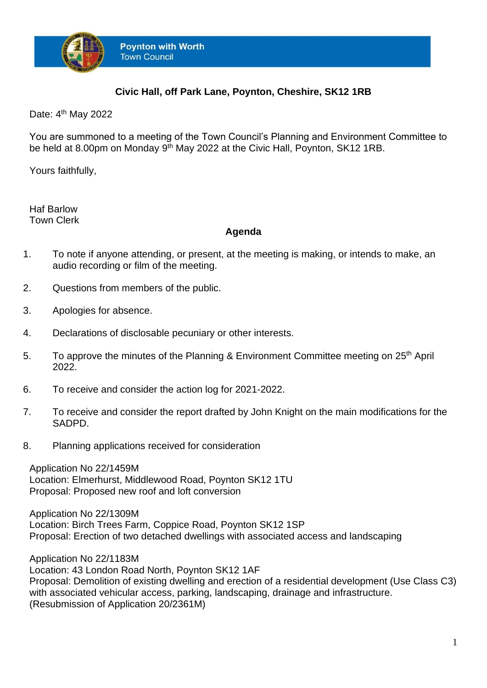

## **Civic Hall, off Park Lane, Poynton, Cheshire, SK12 1RB**

Date: 4<sup>th</sup> May 2022

You are summoned to a meeting of the Town Council's Planning and Environment Committee to be held at 8.00pm on Monday 9<sup>th</sup> May 2022 at the Civic Hall, Poynton, SK12 1RB.

Yours faithfully,

Haf Barlow Town Clerk

## **Agenda**

- 1. To note if anyone attending, or present, at the meeting is making, or intends to make, an audio recording or film of the meeting.
- 2. Questions from members of the public.
- 3. Apologies for absence.
- 4. Declarations of disclosable pecuniary or other interests.
- 5. To approve the minutes of the Planning & Environment Committee meeting on 25<sup>th</sup> April 2022.
- 6. To receive and consider the action log for 2021-2022.
- 7. To receive and consider the report drafted by John Knight on the main modifications for the SADPD.
- 8. Planning applications received for consideration

Application No 22/1459M Location: Elmerhurst, Middlewood Road, Poynton SK12 1TU Proposal: Proposed new roof and loft conversion

Application No 22/1309M Location: Birch Trees Farm, Coppice Road, Poynton SK12 1SP Proposal: Erection of two detached dwellings with associated access and landscaping

Application No 22/1183M Location: 43 London Road North, Poynton SK12 1AF Proposal: Demolition of existing dwelling and erection of a residential development (Use Class C3) with associated vehicular access, parking, landscaping, drainage and infrastructure. (Resubmission of Application 20/2361M)